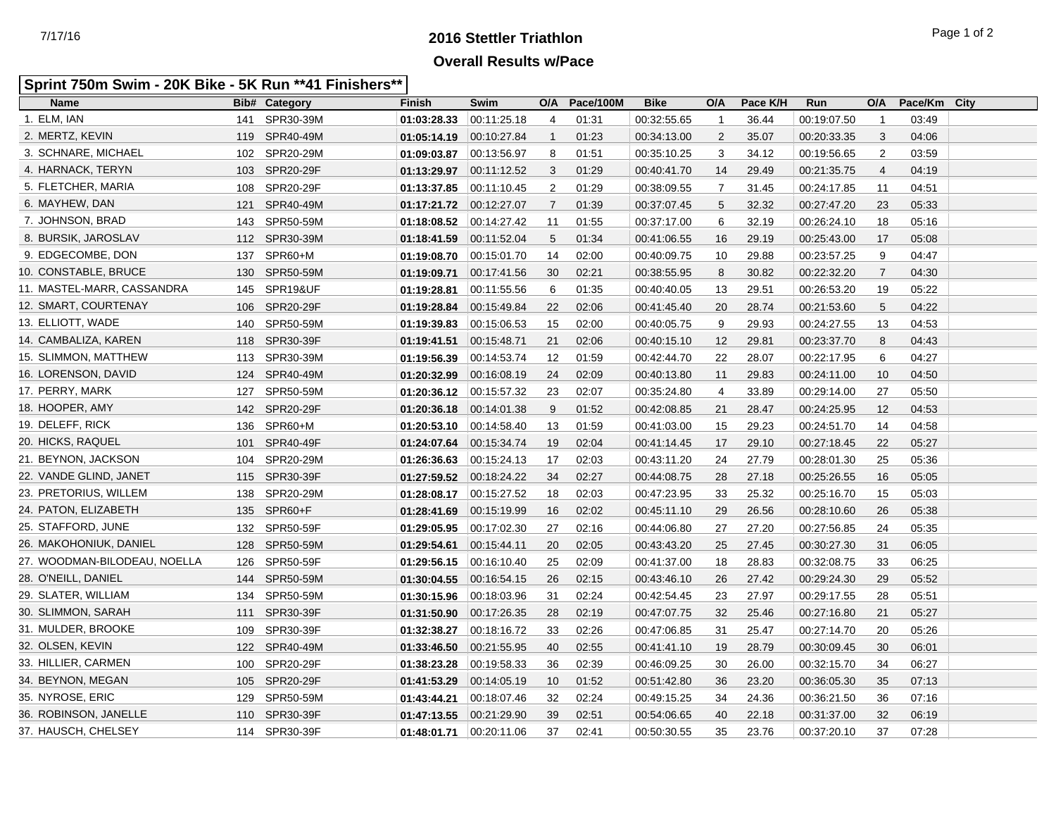## **2016 Stettler Triathlon** 7/17/16 Page 1 of 2 **Overall Results w/Pace**

## **Sprint 750m Swim - 20K Bike - 5K Run \*\*41 Finishers\*\***

| <b>Name</b>                  |     | <b>Bib# Category</b> | <b>Finish</b>           | Swim        | O/A            | Pace/100M | <b>Bike</b> | O/A            | Pace K/H | Run         | O/A            | Pace/Km | <b>City</b> |
|------------------------------|-----|----------------------|-------------------------|-------------|----------------|-----------|-------------|----------------|----------|-------------|----------------|---------|-------------|
| 1. ELM, IAN                  | 141 | SPR30-39M            | 01:03:28.33             | 00:11:25.18 | 4              | 01:31     | 00:32:55.65 | $\mathbf{1}$   | 36.44    | 00:19:07.50 | $\overline{1}$ | 03:49   |             |
| 2. MERTZ, KEVIN              |     | 119 SPR40-49M        | 01:05:14.19             | 00:10:27.84 | $\mathbf{1}$   | 01:23     | 00:34:13.00 | 2              | 35.07    | 00:20:33.35 | 3              | 04:06   |             |
| 3. SCHNARE, MICHAEL          |     | 102 SPR20-29M        | 01:09:03.87             | 00:13:56.97 | 8              | 01:51     | 00:35:10.25 | 3              | 34.12    | 00:19:56.65 | 2              | 03:59   |             |
| 4. HARNACK, TERYN            |     | 103 SPR20-29F        | 01:13:29.97             | 00:11:12.52 | 3              | 01:29     | 00:40:41.70 | 14             | 29.49    | 00:21:35.75 | 4              | 04:19   |             |
| 5. FLETCHER, MARIA           |     | 108 SPR20-29F        | 01:13:37.85             | 00:11:10.45 | 2              | 01:29     | 00:38:09.55 | $\overline{7}$ | 31.45    | 00:24:17.85 | 11             | 04:51   |             |
| 6. MAYHEW, DAN               | 121 | SPR40-49M            | 01:17:21.72             | 00:12:27.07 | $\overline{7}$ | 01:39     | 00:37:07.45 | 5              | 32.32    | 00:27:47.20 | 23             | 05:33   |             |
| 7. JOHNSON, BRAD             |     | 143 SPR50-59M        | 01:18:08.52             | 00:14:27.42 | 11             | 01:55     | 00:37:17.00 | 6              | 32.19    | 00:26:24.10 | 18             | 05:16   |             |
| 8. BURSIK, JAROSLAV          |     | 112 SPR30-39M        | 01:18:41.59             | 00:11:52.04 | 5              | 01:34     | 00:41:06.55 | 16             | 29.19    | 00:25:43.00 | 17             | 05:08   |             |
| 9. EDGECOMBE, DON            |     | 137 SPR60+M          | 01:19:08.70             | 00:15:01.70 | 14             | 02:00     | 00:40:09.75 | 10             | 29.88    | 00:23:57.25 | 9              | 04:47   |             |
| 10. CONSTABLE, BRUCE         |     | 130 SPR50-59M        | 01:19:09.71             | 00:17:41.56 | 30             | 02:21     | 00:38:55.95 | 8              | 30.82    | 00:22:32.20 | $\overline{7}$ | 04:30   |             |
| 11. MASTEL-MARR, CASSANDRA   |     | 145 SPR19&UF         | 01:19:28.81             | 00:11:55.56 | 6              | 01:35     | 00:40:40.05 | 13             | 29.51    | 00:26:53.20 | 19             | 05:22   |             |
| 12. SMART, COURTENAY         |     | 106 SPR20-29F        | 01:19:28.84             | 00:15:49.84 | 22             | 02:06     | 00:41:45.40 | 20             | 28.74    | 00:21:53.60 | 5              | 04:22   |             |
| 13. ELLIOTT, WADE            |     | 140 SPR50-59M        | 01:19:39.83             | 00:15:06.53 | 15             | 02:00     | 00:40:05.75 | 9              | 29.93    | 00:24:27.55 | 13             | 04:53   |             |
| 14. CAMBALIZA, KAREN         |     | 118 SPR30-39F        | 01:19:41.51             | 00:15:48.71 | 21             | 02:06     | 00:40:15.10 | 12             | 29.81    | 00:23:37.70 | 8              | 04:43   |             |
| 15. SLIMMON, MATTHEW         |     | 113 SPR30-39M        | 01:19:56.39             | 00:14:53.74 | 12             | 01:59     | 00:42:44.70 | 22             | 28.07    | 00:22:17.95 | 6              | 04:27   |             |
| 16. LORENSON, DAVID          |     | 124 SPR40-49M        | 01:20:32.99             | 00:16:08.19 | 24             | 02:09     | 00:40:13.80 | 11             | 29.83    | 00:24:11.00 | 10             | 04:50   |             |
| 17. PERRY, MARK              |     | 127 SPR50-59M        | 01:20:36.12 00:15:57.32 |             | 23             | 02:07     | 00:35:24.80 | 4              | 33.89    | 00:29:14.00 | 27             | 05:50   |             |
| 18. HOOPER, AMY              |     | 142 SPR20-29F        | 01:20:36.18             | 00:14:01.38 | 9              | 01:52     | 00:42:08.85 | 21             | 28.47    | 00:24:25.95 | 12             | 04:53   |             |
| 19. DELEFF, RICK             |     | 136 SPR60+M          | 01:20:53.10             | 00:14:58.40 | 13             | 01:59     | 00:41:03.00 | 15             | 29.23    | 00:24:51.70 | 14             | 04:58   |             |
| 20. HICKS, RAQUEL            |     | 101 SPR40-49F        | 01:24:07.64             | 00:15:34.74 | 19             | 02:04     | 00:41:14.45 | 17             | 29.10    | 00:27:18.45 | 22             | 05:27   |             |
| 21. BEYNON, JACKSON          |     | 104 SPR20-29M        | 01:26:36.63             | 00:15:24.13 | 17             | 02:03     | 00:43:11.20 | 24             | 27.79    | 00:28:01.30 | 25             | 05:36   |             |
| 22. VANDE GLIND, JANET       |     | 115 SPR30-39F        | 01:27:59.52             | 00:18:24.22 | 34             | 02:27     | 00:44:08.75 | 28             | 27.18    | 00:25:26.55 | 16             | 05:05   |             |
| 23. PRETORIUS, WILLEM        |     | 138 SPR20-29M        | 01:28:08.17             | 00:15:27.52 | 18             | 02:03     | 00:47:23.95 | 33             | 25.32    | 00:25:16.70 | 15             | 05:03   |             |
| 24. PATON, ELIZABETH         |     | 135 SPR60+F          | 01:28:41.69             | 00:15:19.99 | 16             | 02:02     | 00:45:11.10 | 29             | 26.56    | 00:28:10.60 | 26             | 05:38   |             |
| 25. STAFFORD, JUNE           |     | 132 SPR50-59F        | 01:29:05.95             | 00:17:02.30 | 27             | 02:16     | 00:44:06.80 | 27             | 27.20    | 00:27:56.85 | 24             | 05:35   |             |
| 26. MAKOHONIUK, DANIEL       |     | 128 SPR50-59M        | 01:29:54.61             | 00:15:44.11 | 20             | 02:05     | 00:43:43.20 | 25             | 27.45    | 00:30:27.30 | 31             | 06:05   |             |
| 27. WOODMAN-BILODEAU, NOELLA |     | 126 SPR50-59F        | 01:29:56.15             | 00:16:10.40 | 25             | 02:09     | 00:41:37.00 | 18             | 28.83    | 00:32:08.75 | 33             | 06:25   |             |
| 28. O'NEILL, DANIEL          |     | 144 SPR50-59M        | 01:30:04.55             | 00:16:54.15 | 26             | 02:15     | 00:43:46.10 | 26             | 27.42    | 00:29:24.30 | 29             | 05:52   |             |
| 29. SLATER, WILLIAM          |     | 134 SPR50-59M        | 01:30:15.96             | 00:18:03.96 | 31             | 02:24     | 00:42:54.45 | 23             | 27.97    | 00:29:17.55 | 28             | 05:51   |             |
| 30. SLIMMON, SARAH           |     | 111 SPR30-39F        | 01:31:50.90             | 00:17:26.35 | 28             | 02:19     | 00:47:07.75 | 32             | 25.46    | 00:27:16.80 | 21             | 05:27   |             |
| 31. MULDER, BROOKE           |     | 109 SPR30-39F        | 01:32:38.27             | 00:18:16.72 | 33             | 02:26     | 00:47:06.85 | 31             | 25.47    | 00:27:14.70 | 20             | 05:26   |             |
| 32. OLSEN, KEVIN             |     | 122 SPR40-49M        | 01:33:46.50             | 00:21:55.95 | 40             | 02:55     | 00:41:41.10 | 19             | 28.79    | 00:30:09.45 | 30             | 06:01   |             |
| 33. HILLIER, CARMEN          |     | 100 SPR20-29F        | 01:38:23.28             | 00:19:58.33 | 36             | 02:39     | 00:46:09.25 | 30             | 26.00    | 00:32:15.70 | 34             | 06:27   |             |
| 34. BEYNON, MEGAN            |     | 105 SPR20-29F        | 01:41:53.29             | 00:14:05.19 | 10             | 01:52     | 00:51:42.80 | 36             | 23.20    | 00:36:05.30 | 35             | 07:13   |             |
| 35. NYROSE, ERIC             |     | 129 SPR50-59M        | 01:43:44.21             | 00:18:07.46 | 32             | 02:24     | 00:49:15.25 | 34             | 24.36    | 00:36:21.50 | 36             | 07:16   |             |
| 36. ROBINSON, JANELLE        |     | 110 SPR30-39F        | 01:47:13.55             | 00:21:29.90 | 39             | 02:51     | 00:54:06.65 | 40             | 22.18    | 00:31:37.00 | 32             | 06:19   |             |
| 37. HAUSCH, CHELSEY          |     | 114 SPR30-39F        | 01:48:01.71             | 00:20:11.06 | 37             | 02:41     | 00:50:30.55 | 35             | 23.76    | 00:37:20.10 | 37             | 07:28   |             |